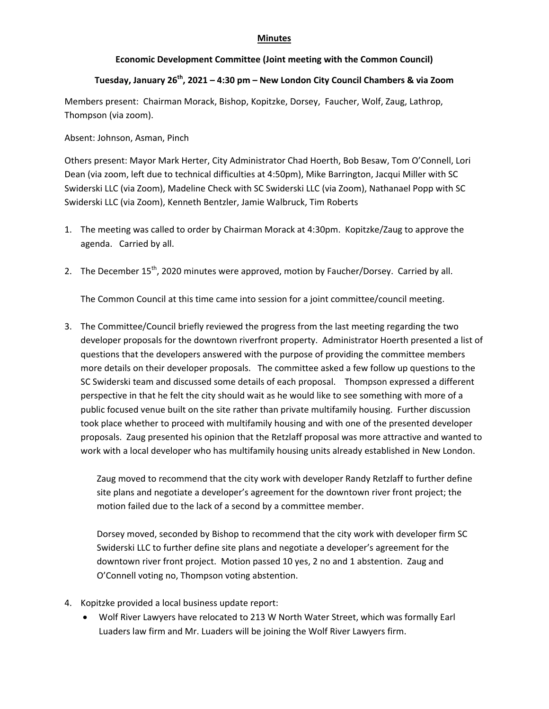## **Minutes**

## **Economic Development Committee (Joint meeting with the Common Council)**

## **Tuesday, January 26th, 2021 – 4:30 pm – New London City Council Chambers & via Zoom**

Members present: Chairman Morack, Bishop, Kopitzke, Dorsey, Faucher, Wolf, Zaug, Lathrop, Thompson (via zoom).

## Absent: Johnson, Asman, Pinch

Others present: Mayor Mark Herter, City Administrator Chad Hoerth, Bob Besaw, Tom O'Connell, Lori Dean (via zoom, left due to technical difficulties at 4:50pm), Mike Barrington, Jacqui Miller with SC Swiderski LLC (via Zoom), Madeline Check with SC Swiderski LLC (via Zoom), Nathanael Popp with SC Swiderski LLC (via Zoom), Kenneth Bentzler, Jamie Walbruck, Tim Roberts

- 1. The meeting was called to order by Chairman Morack at 4:30pm. Kopitzke/Zaug to approve the agenda. Carried by all.
- 2. The December  $15<sup>th</sup>$ , 2020 minutes were approved, motion by Faucher/Dorsey. Carried by all.

The Common Council at this time came into session for a joint committee/council meeting.

3. The Committee/Council briefly reviewed the progress from the last meeting regarding the two developer proposals for the downtown riverfront property. Administrator Hoerth presented a list of questions that the developers answered with the purpose of providing the committee members more details on their developer proposals. The committee asked a few follow up questions to the SC Swiderski team and discussed some details of each proposal. Thompson expressed a different perspective in that he felt the city should wait as he would like to see something with more of a public focused venue built on the site rather than private multifamily housing. Further discussion took place whether to proceed with multifamily housing and with one of the presented developer proposals. Zaug presented his opinion that the Retzlaff proposal was more attractive and wanted to work with a local developer who has multifamily housing units already established in New London.

Zaug moved to recommend that the city work with developer Randy Retzlaff to further define site plans and negotiate a developer's agreement for the downtown river front project; the motion failed due to the lack of a second by a committee member.

Dorsey moved, seconded by Bishop to recommend that the city work with developer firm SC Swiderski LLC to further define site plans and negotiate a developer's agreement for the downtown river front project. Motion passed 10 yes, 2 no and 1 abstention. Zaug and O'Connell voting no, Thompson voting abstention.

- 4. Kopitzke provided a local business update report:
	- Wolf River Lawyers have relocated to 213 W North Water Street, which was formally Earl Luaders law firm and Mr. Luaders will be joining the Wolf River Lawyers firm.